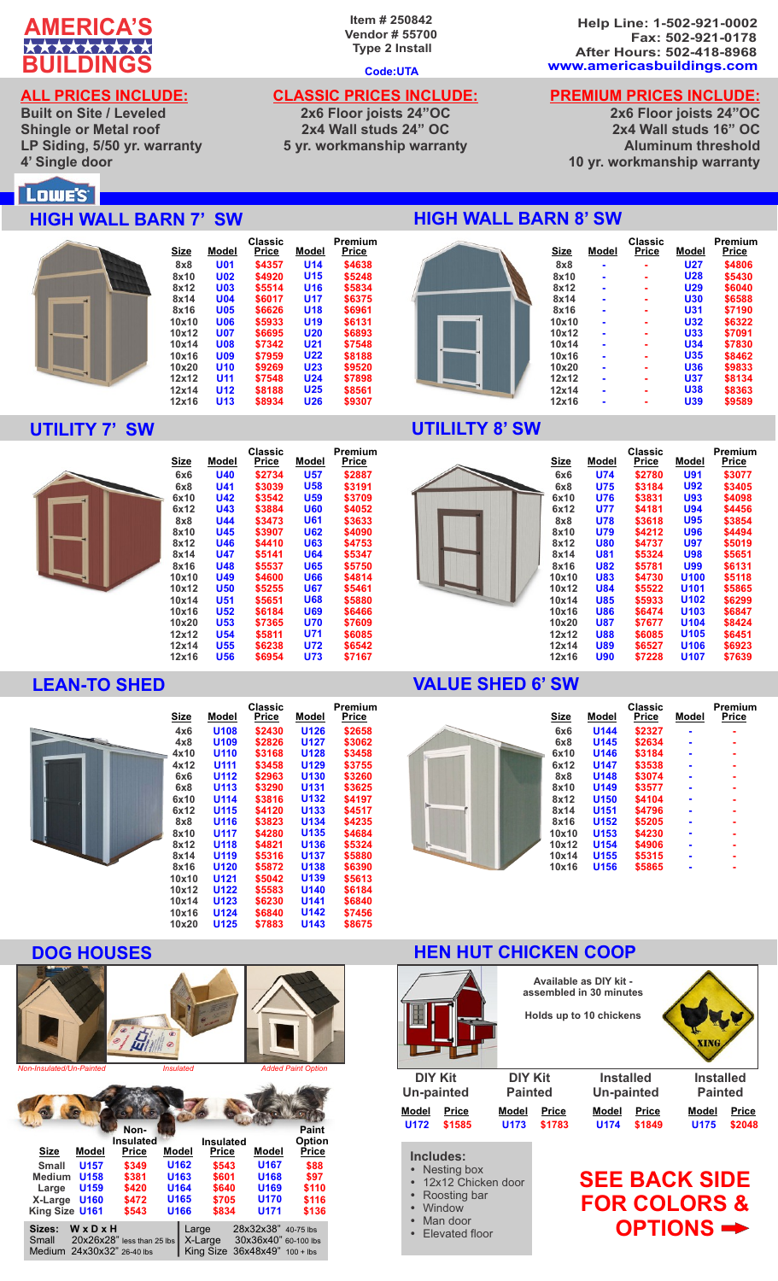

### **ALL PRICES INCLUDE:**

**Built on Site / Leveled Shingle or Metal roof LP Siding, 5/50 yr. warranty 4' Single door**

### **Item # 250842 Vendor # 55700 Type 2 Install**

### **Code:UTA**

### **CLASSIC PRICES INCLUDE:**

**2x6 Floor joists 24"OC 2x4 Wall studs 24" OC 5 yr. workmanship warranty**

**Help Line: 1-502-921-0002 Fax: 502-921-0178 After Hours: 502-418-8968 www.americasbuildings.com**

# **PREMIUM PRICES INCLUDE:**

**2x6 Floor joists 24"OC 2x4 Wall studs 16" OC Aluminum threshold 10 yr. workmanship warranty**

**Premium** 

### Lowe's

### **HIGH WALL BARN 7' SW**



### **UTILITY 7' SW**



|            | Classic |            | Premium |
|------------|---------|------------|---------|
|            |         |            | Price   |
| <b>U40</b> | \$2734  | <b>U57</b> | \$2887  |
| U41        | \$3039  | U58        | \$3191  |
| <b>U42</b> | \$3542  | <b>U59</b> | \$3709  |
| <b>U43</b> | \$3884  | <b>U60</b> | \$4052  |
| U44        | \$3473  | <b>U61</b> | \$3633  |
| U45        | \$3907  | <b>U62</b> | \$4090  |
| U46        | \$4410  | <b>U63</b> | \$4753  |
| U47        | \$5141  | U64        | \$5347  |
| U48        | \$5537  | U65        | \$5750  |
| <b>U49</b> | \$4600  | U66        | \$4814  |
| U50        | \$5255  | U67        | \$5461  |
| U51        | \$5651  | <b>U68</b> | \$5880  |
| U52        | \$6184  | <b>U69</b> | \$6466  |
| <b>U53</b> | \$7365  | <b>U70</b> | \$7609  |
| <b>U54</b> | \$5811  | U71        | \$6085  |
| <b>U55</b> | \$6238  | U72        | \$6542  |
| U56        | \$6954  | U73        | \$7167  |
|            | Model   | Price      | Model   |

| <b>Size</b> | Model            | Classic<br>Price | Model            | Premium<br>Price |
|-------------|------------------|------------------|------------------|------------------|
| 4x6         | U <sub>108</sub> | \$2430           | U126             | \$2658           |
| 4x8         | U <sub>109</sub> | \$2826           | <b>U127</b>      | \$3062           |
| 4x10        | U <sub>110</sub> | \$3168           | U <sub>128</sub> | \$3458           |
| 4x12        | U <sub>111</sub> | \$3458           | U <sub>129</sub> | \$3755           |
| 6x6         | U <sub>112</sub> | \$2963           | U <sub>130</sub> | \$3260           |
| 6x8         | U <sub>113</sub> | \$3290           | U <sub>131</sub> | \$3625           |
| 6x10        | U114             | \$3816           | U132             | \$4197           |
| 6x12        | U <sub>115</sub> | \$4120           | U <sub>133</sub> | \$4517           |
| 8x8         | U <sub>116</sub> | \$3823           | U <sub>134</sub> | \$4235           |
| 8x10        | U <sub>117</sub> | \$4280           | U <sub>135</sub> | \$4684           |
| 8x12        | U <sub>118</sub> | \$4821           | U <sub>136</sub> | \$5324           |
| 8x14        | U <sub>119</sub> | \$5316           | U137             | \$5880           |
| 8x16        | U <sub>120</sub> | \$5872           | U138             | \$6390           |
| 10x10       | U <sub>121</sub> | \$5042           | U139             | \$5613           |
| 10x12       | U122             | \$5583           | U <sub>140</sub> | \$6184           |
| 10x14       | U <sub>123</sub> | \$6230           | U <sub>141</sub> | \$6840           |
| 10x16       | U <sub>124</sub> | \$6840           | U142             | \$7456           |
| 10x20       | U <sub>125</sub> | \$7883           | U143             | \$8675           |
|             |                  |                  |                  |                  |



| <b>Small</b>   | <b>U157</b>                | \$349                              | U162             | \$543 | U167                            | \$88  |
|----------------|----------------------------|------------------------------------|------------------|-------|---------------------------------|-------|
| Medium U158    |                            | \$381                              | U <sub>163</sub> | \$601 | U168                            | \$97  |
| Large          | U <sub>159</sub>           | \$420                              | U <sub>164</sub> | \$640 | U <sub>169</sub>                | \$110 |
| X-Large U160   |                            | \$472                              | U <sub>165</sub> | \$705 | <b>U170</b>                     | \$116 |
| King Size U161 |                            | \$543                              | U166             | \$834 | U171                            | \$136 |
| Sizes:         | WxDxH                      |                                    | Large            |       | 28x32x38" 40-75 lbs             |       |
|                |                            | Small $20x26x28"$ less than 25 lbs |                  |       | X-Large 30x36x40" 60-100 lbs    |       |
|                | Medium 24x30x32" 26-40 lbs |                                    |                  |       | King Size $36x48x49"$ 100 + lbs |       |

# **HIGH WALL BARN 8' SW**



| Price  | <b>Size</b> | Model          | Price | Model      | Price  |
|--------|-------------|----------------|-------|------------|--------|
| \$4638 | 8x8         | $\blacksquare$ | ۰     | <b>U27</b> | \$4806 |
| \$5248 | 8x10        | ۰              |       | <b>U28</b> | \$5430 |
| \$5834 | 8x12        | ۰              | ۰     | <b>U29</b> | \$6040 |
| \$6375 | 8x14        | $\blacksquare$ | ۰     | <b>U30</b> | \$6588 |
| \$6961 | 8x16        | $\blacksquare$ |       | U31        | \$7190 |
| \$6131 | 10x10       | ۰              | ۰     | <b>U32</b> | \$6322 |
| \$6893 | 10x12       | ۰              | ۰     | U33        | \$7091 |
| \$7548 | 10x14       | $\blacksquare$ |       | <b>U34</b> | \$7830 |
| \$8188 | 10x16       |                | ۰     | <b>U35</b> | \$8462 |
| \$9520 | 10x20       | $\blacksquare$ | -     | U36        | \$9833 |
| \$7898 | 12x12       | ٠              | ۰     | <b>U37</b> | \$8134 |
| \$8561 | 12x14       | ۰              |       | <b>U38</b> | \$8363 |
| \$9307 | 12x16       |                |       | U39        | \$9589 |
|        |             |                |       |            |        |

### **UTILILTY 8' SW**



|             |            | Classic |                  | Premium      |
|-------------|------------|---------|------------------|--------------|
| <b>Size</b> | Model      | Price   | Model            | <b>Price</b> |
| 6x6         | <b>U74</b> | \$2780  | <b>U91</b>       | \$3077       |
| 6x8         | <b>U75</b> | \$3184  | <b>U92</b>       | \$3405       |
| 6x10        | U76        | \$3831  | <b>U93</b>       | \$4098       |
| 6x12        | U77        | \$4181  | <b>U94</b>       | \$4456       |
| 8x8         | U78        | \$3618  | <b>U95</b>       | \$3854       |
| 8x10        | U79        | \$4212  | U96              | \$4494       |
| 8x12        | <b>U80</b> | \$4737  | <b>U97</b>       | \$5019       |
| 8x14        | U81        | \$5324  | U98              | \$5651       |
| 8x16        | <b>U82</b> | \$5781  | U99              | \$6131       |
| 10x10       | U83        | \$4730  | <b>U100</b>      | \$5118       |
| 10x12       | U84        | \$5522  | U101             | \$5865       |
| 10x14       | <b>U85</b> | \$5933  | U102             | \$6299       |
| 10x16       | U86        | \$6474  | U103             | \$6847       |
| 10x20       | U87        | \$7677  | U <sub>104</sub> | \$8424       |
| 12x12       | <b>U88</b> | \$6085  | U <sub>105</sub> | \$6451       |
| 12x14       | U89        | \$6527  | U106             | \$6923       |
| 12x16       | U90        | \$7228  | <b>U107</b>      | \$7639       |
|             |            |         |                  |              |

### **LEAN-TO SHED VALUE SHED 6' SW**



| Size  | Model            | Classic<br>Price | Model | Premium<br>Price |
|-------|------------------|------------------|-------|------------------|
| 6x6   | <b>U144</b>      | \$2327           |       |                  |
| 6x8   | U <sub>145</sub> | \$2634           |       |                  |
| 6x10  | U146             | \$3184           |       |                  |
| 6x12  | U147             | \$3538           |       |                  |
| 8x8   | U <sub>148</sub> | \$3074           |       |                  |
| 8x10  | U <sub>149</sub> | \$3577           |       |                  |
| 8x12  | U <sub>150</sub> | \$4104           |       |                  |
| 8x14  | U <sub>151</sub> | \$4796           |       |                  |
| 8x16  | U <sub>152</sub> | \$5205           |       |                  |
| 10x10 | U <sub>153</sub> | \$4230           |       |                  |
| 10x12 | U <sub>154</sub> | \$4906           |       |                  |
| 10x14 | U <sub>155</sub> | \$5315           |       |                  |
| 10x16 | U <sub>156</sub> | \$5865           |       |                  |

### **DOG HOUSES HEN HUT CHICKEN COOP**

- 
- **U172 U173 U174 U175 Model Model Model Model DIY Kit Un-painted**

**Includes:** Nesting box • 12x12 Chicken door<br>• Roosting har • Roosting bar<br>• Window • Window<br>• Man doc Man door • Elevated floor

**DIY Kit Painted**

**Available as DIY kit assembled in 30 minutes Holds up to 10 chickens**

| <b>Installed</b> |             |
|------------------|-------------|
| Un-painted       |             |
| Model            | Price       |
| 11474            | <b>C40A</b> |

- **\$1585 \$1783 \$1849 \$2048 Model Price Installed Painted**
	- **SEE BACK SIDE FOR COLORS & OPTIONS**